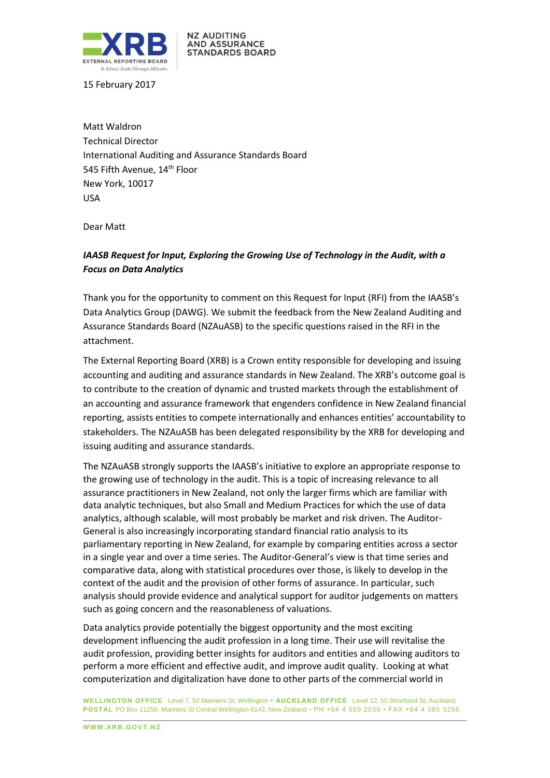

**NZ AUDITING AND ASSURANCE STANDARDS BOARD** 

15 February 2017

Matt Waldron Technical Director International Auditing and Assurance Standards Board 545 Fifth Avenue, 14<sup>th</sup> Floor New York, 10017 USA

Dear Matt

# *IAASB Request for Input, Exploring the Growing Use of Technology in the Audit, with a Focus on Data Analytics*

Thank you for the opportunity to comment on this Request for Input (RFI) from the IAASB's Data Analytics Group (DAWG). We submit the feedback from the New Zealand Auditing and Assurance Standards Board (NZAuASB) to the specific questions raised in the RFI in the attachment.

The External Reporting Board (XRB) is a Crown entity responsible for developing and issuing accounting and auditing and assurance standards in New Zealand. The XRB's outcome goal is to contribute to the creation of dynamic and trusted markets through the establishment of an accounting and assurance framework that engenders confidence in New Zealand financial reporting, assists entities to compete internationally and enhances entities' accountability to stakeholders. The NZAuASB has been delegated responsibility by the XRB for developing and issuing auditing and assurance standards.

The NZAuASB strongly supports the IAASB's initiative to explore an appropriate response to the growing use of technology in the audit. This is a topic of increasing relevance to all assurance practitioners in New Zealand, not only the larger firms which are familiar with data analytic techniques, but also Small and Medium Practices for which the use of data analytics, although scalable, will most probably be market and risk driven. The Auditor-General is also increasingly incorporating standard financial ratio analysis to its parliamentary reporting in New Zealand, for example by comparing entities across a sector in a single year and over a time series. The Auditor-General's view is that time series and comparative data, along with statistical procedures over those, is likely to develop in the context of the audit and the provision of other forms of assurance. In particular, such analysis should provide evidence and analytical support for auditor judgements on matters such as going concern and the reasonableness of valuations.

Data analytics provide potentially the biggest opportunity and the most exciting development influencing the audit profession in a long time. Their use will revitalise the audit profession, providing better insights for auditors and entities and allowing auditors to perform a more efficient and effective audit, and improve audit quality. Looking at what computerization and digitalization have done to other parts of the commercial world in

**WELLINGTON OFFICE** Level 7, 50 Manners St, Wellington **• AUCKLAND OFFICE** Level 12, 55 Shortland St, Auckland **POSTAL** PO Box 11250, Manners St Central Wellington 6142, New Zealand • PH +64 4 550 2030 • FAX +64 4 385 3256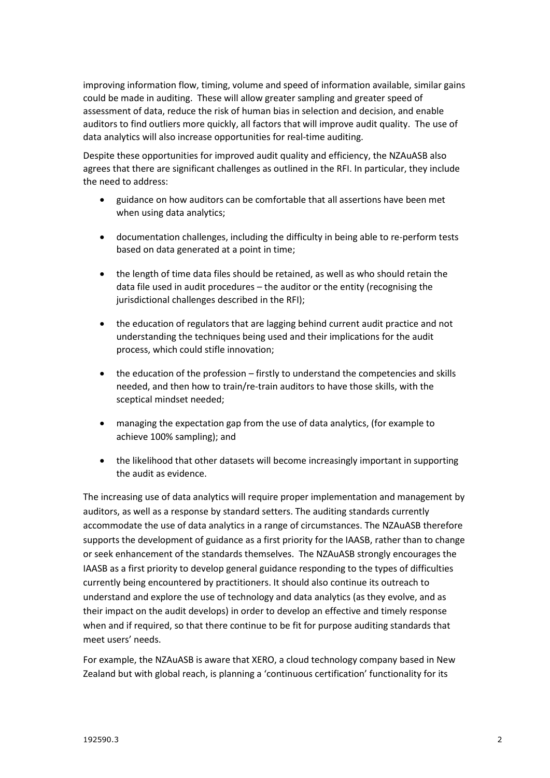improving information flow, timing, volume and speed of information available, similar gains could be made in auditing. These will allow greater sampling and greater speed of assessment of data, reduce the risk of human bias in selection and decision, and enable auditors to find outliers more quickly, all factors that will improve audit quality. The use of data analytics will also increase opportunities for real-time auditing.

Despite these opportunities for improved audit quality and efficiency, the NZAuASB also agrees that there are significant challenges as outlined in the RFI. In particular, they include the need to address:

- guidance on how auditors can be comfortable that all assertions have been met when using data analytics;
- documentation challenges, including the difficulty in being able to re-perform tests based on data generated at a point in time;
- the length of time data files should be retained, as well as who should retain the data file used in audit procedures – the auditor or the entity (recognising the jurisdictional challenges described in the RFI);
- the education of regulators that are lagging behind current audit practice and not understanding the techniques being used and their implications for the audit process, which could stifle innovation;
- the education of the profession firstly to understand the competencies and skills needed, and then how to train/re-train auditors to have those skills, with the sceptical mindset needed;
- managing the expectation gap from the use of data analytics, (for example to achieve 100% sampling); and
- the likelihood that other datasets will become increasingly important in supporting the audit as evidence.

The increasing use of data analytics will require proper implementation and management by auditors, as well as a response by standard setters. The auditing standards currently accommodate the use of data analytics in a range of circumstances. The NZAuASB therefore supports the development of guidance as a first priority for the IAASB, rather than to change or seek enhancement of the standards themselves. The NZAuASB strongly encourages the IAASB as a first priority to develop general guidance responding to the types of difficulties currently being encountered by practitioners. It should also continue its outreach to understand and explore the use of technology and data analytics (as they evolve, and as their impact on the audit develops) in order to develop an effective and timely response when and if required, so that there continue to be fit for purpose auditing standards that meet users' needs.

For example, the NZAuASB is aware that XERO, a cloud technology company based in New Zealand but with global reach, is planning a 'continuous certification' functionality for its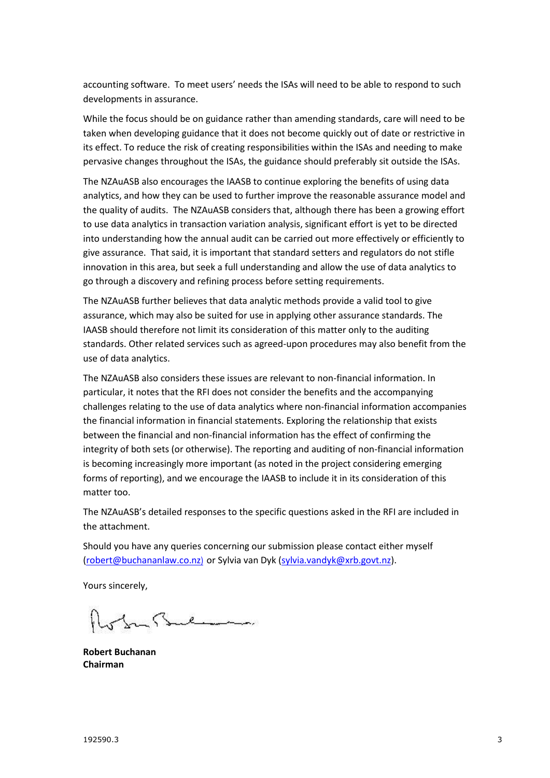accounting software. To meet users' needs the ISAs will need to be able to respond to such developments in assurance.

While the focus should be on guidance rather than amending standards, care will need to be taken when developing guidance that it does not become quickly out of date or restrictive in its effect. To reduce the risk of creating responsibilities within the ISAs and needing to make pervasive changes throughout the ISAs, the guidance should preferably sit outside the ISAs.

The NZAuASB also encourages the IAASB to continue exploring the benefits of using data analytics, and how they can be used to further improve the reasonable assurance model and the quality of audits. The NZAuASB considers that, although there has been a growing effort to use data analytics in transaction variation analysis, significant effort is yet to be directed into understanding how the annual audit can be carried out more effectively or efficiently to give assurance. That said, it is important that standard setters and regulators do not stifle innovation in this area, but seek a full understanding and allow the use of data analytics to go through a discovery and refining process before setting requirements.

The NZAuASB further believes that data analytic methods provide a valid tool to give assurance, which may also be suited for use in applying other assurance standards. The IAASB should therefore not limit its consideration of this matter only to the auditing standards. Other related services such as agreed-upon procedures may also benefit from the use of data analytics.

The NZAuASB also considers these issues are relevant to non-financial information. In particular, it notes that the RFI does not consider the benefits and the accompanying challenges relating to the use of data analytics where non-financial information accompanies the financial information in financial statements. Exploring the relationship that exists between the financial and non-financial information has the effect of confirming the integrity of both sets (or otherwise). The reporting and auditing of non-financial information is becoming increasingly more important (as noted in the project considering emerging forms of reporting), and we encourage the IAASB to include it in its consideration of this matter too.

The NZAuASB's detailed responses to the specific questions asked in the RFI are included in the attachment.

Should you have any queries concerning our submission please contact either myself (robert@buchananlaw.co.nz) or Sylvia van Dyk (sylvia.vandyk@xrb.govt.nz).

Yours sincerely,

ofor Bulman

**Robert Buchanan Chairman**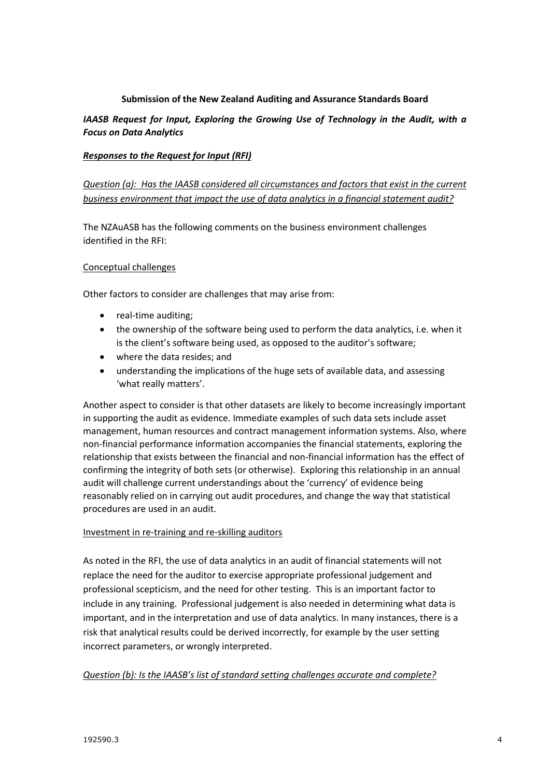## **Submission of the New Zealand Auditing and Assurance Standards Board**

## *IAASB Request for Input, Exploring the Growing Use of Technology in the Audit, with a Focus on Data Analytics*

### *Responses to the Request for Input (RFI)*

# *Question (a): Has the IAASB considered all circumstances and factors that exist in the current business environment that impact the use of data analytics in a financial statement audit?*

The NZAuASB has the following comments on the business environment challenges identified in the RFI:

### Conceptual challenges

Other factors to consider are challenges that may arise from:

- real-time auditing;
- the ownership of the software being used to perform the data analytics, i.e. when it is the client's software being used, as opposed to the auditor's software;
- where the data resides; and
- understanding the implications of the huge sets of available data, and assessing 'what really matters'.

Another aspect to consider is that other datasets are likely to become increasingly important in supporting the audit as evidence. Immediate examples of such data sets include asset management, human resources and contract management information systems. Also, where non-financial performance information accompanies the financial statements, exploring the relationship that exists between the financial and non-financial information has the effect of confirming the integrity of both sets (or otherwise). Exploring this relationship in an annual audit will challenge current understandings about the 'currency' of evidence being reasonably relied on in carrying out audit procedures, and change the way that statistical procedures are used in an audit.

### Investment in re-training and re-skilling auditors

As noted in the RFI, the use of data analytics in an audit of financial statements will not replace the need for the auditor to exercise appropriate professional judgement and professional scepticism, and the need for other testing. This is an important factor to include in any training. Professional judgement is also needed in determining what data is important, and in the interpretation and use of data analytics. In many instances, there is a risk that analytical results could be derived incorrectly, for example by the user setting incorrect parameters, or wrongly interpreted.

### *Question (b): Is the IAASB's list of standard setting challenges accurate and complete?*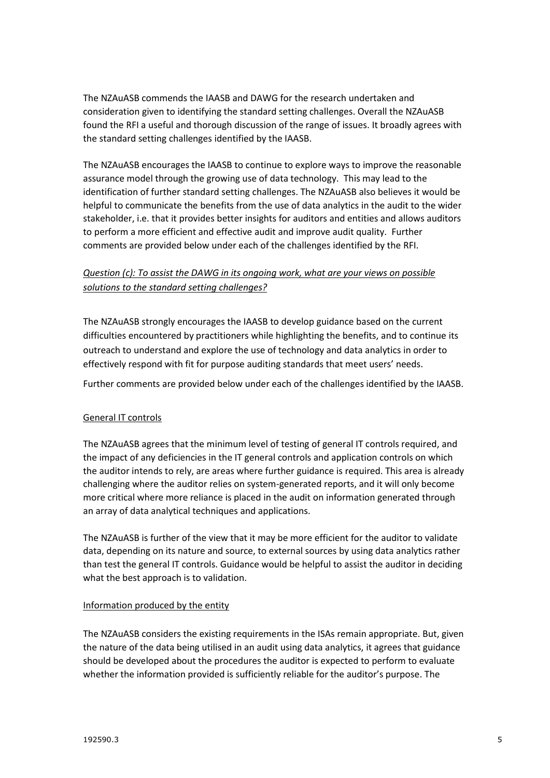The NZAuASB commends the IAASB and DAWG for the research undertaken and consideration given to identifying the standard setting challenges. Overall the NZAuASB found the RFI a useful and thorough discussion of the range of issues. It broadly agrees with the standard setting challenges identified by the IAASB.

The NZAuASB encourages the IAASB to continue to explore ways to improve the reasonable assurance model through the growing use of data technology. This may lead to the identification of further standard setting challenges. The NZAuASB also believes it would be helpful to communicate the benefits from the use of data analytics in the audit to the wider stakeholder, i.e. that it provides better insights for auditors and entities and allows auditors to perform a more efficient and effective audit and improve audit quality. Further comments are provided below under each of the challenges identified by the RFI.

# *Question (c): To assist the DAWG in its ongoing work, what are your views on possible solutions to the standard setting challenges?*

The NZAuASB strongly encourages the IAASB to develop guidance based on the current difficulties encountered by practitioners while highlighting the benefits, and to continue its outreach to understand and explore the use of technology and data analytics in order to effectively respond with fit for purpose auditing standards that meet users' needs.

Further comments are provided below under each of the challenges identified by the IAASB.

## General IT controls

The NZAuASB agrees that the minimum level of testing of general IT controls required, and the impact of any deficiencies in the IT general controls and application controls on which the auditor intends to rely, are areas where further guidance is required. This area is already challenging where the auditor relies on system-generated reports, and it will only become more critical where more reliance is placed in the audit on information generated through an array of data analytical techniques and applications.

The NZAuASB is further of the view that it may be more efficient for the auditor to validate data, depending on its nature and source, to external sources by using data analytics rather than test the general IT controls. Guidance would be helpful to assist the auditor in deciding what the best approach is to validation.

### Information produced by the entity

The NZAuASB considers the existing requirements in the ISAs remain appropriate. But, given the nature of the data being utilised in an audit using data analytics, it agrees that guidance should be developed about the procedures the auditor is expected to perform to evaluate whether the information provided is sufficiently reliable for the auditor's purpose. The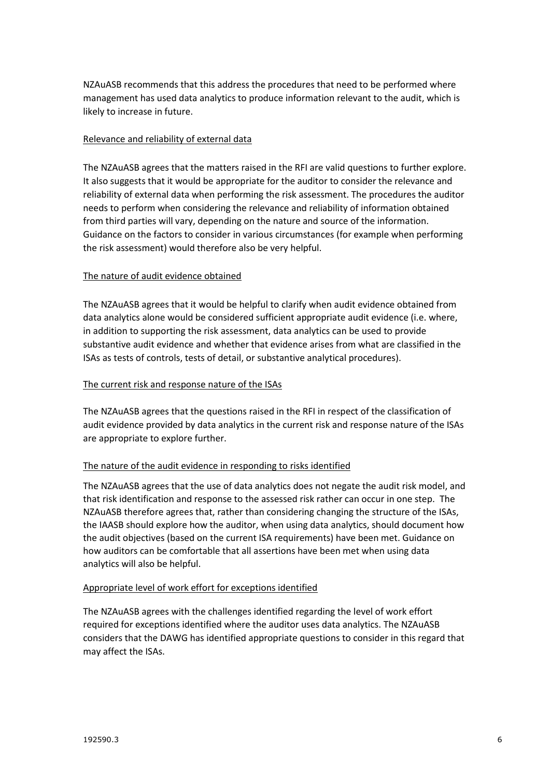NZAuASB recommends that this address the procedures that need to be performed where management has used data analytics to produce information relevant to the audit, which is likely to increase in future.

### Relevance and reliability of external data

The NZAuASB agrees that the matters raised in the RFI are valid questions to further explore. It also suggests that it would be appropriate for the auditor to consider the relevance and reliability of external data when performing the risk assessment. The procedures the auditor needs to perform when considering the relevance and reliability of information obtained from third parties will vary, depending on the nature and source of the information. Guidance on the factors to consider in various circumstances (for example when performing the risk assessment) would therefore also be very helpful.

## The nature of audit evidence obtained

The NZAuASB agrees that it would be helpful to clarify when audit evidence obtained from data analytics alone would be considered sufficient appropriate audit evidence (i.e. where, in addition to supporting the risk assessment, data analytics can be used to provide substantive audit evidence and whether that evidence arises from what are classified in the ISAs as tests of controls, tests of detail, or substantive analytical procedures).

## The current risk and response nature of the ISAs

The NZAuASB agrees that the questions raised in the RFI in respect of the classification of audit evidence provided by data analytics in the current risk and response nature of the ISAs are appropriate to explore further.

## The nature of the audit evidence in responding to risks identified

The NZAuASB agrees that the use of data analytics does not negate the audit risk model, and that risk identification and response to the assessed risk rather can occur in one step. The NZAuASB therefore agrees that, rather than considering changing the structure of the ISAs, the IAASB should explore how the auditor, when using data analytics, should document how the audit objectives (based on the current ISA requirements) have been met. Guidance on how auditors can be comfortable that all assertions have been met when using data analytics will also be helpful.

### Appropriate level of work effort for exceptions identified

The NZAuASB agrees with the challenges identified regarding the level of work effort required for exceptions identified where the auditor uses data analytics. The NZAuASB considers that the DAWG has identified appropriate questions to consider in this regard that may affect the ISAs.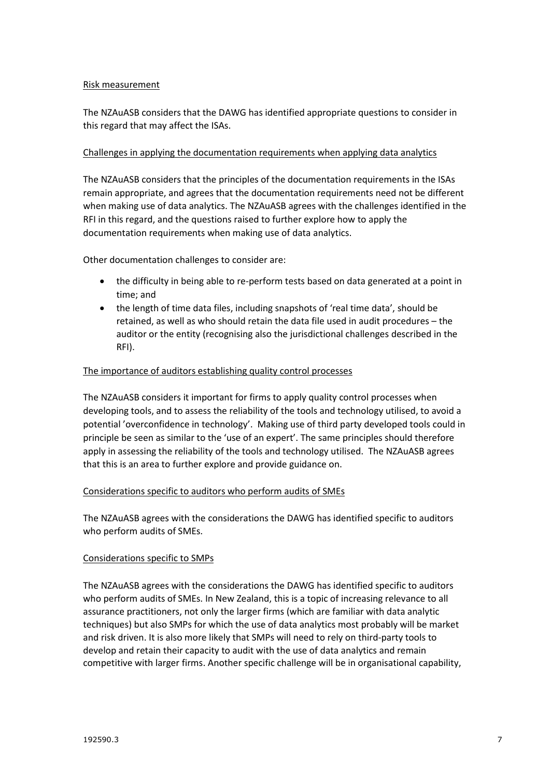### Risk measurement

The NZAuASB considers that the DAWG has identified appropriate questions to consider in this regard that may affect the ISAs.

## Challenges in applying the documentation requirements when applying data analytics

The NZAuASB considers that the principles of the documentation requirements in the ISAs remain appropriate, and agrees that the documentation requirements need not be different when making use of data analytics. The NZAuASB agrees with the challenges identified in the RFI in this regard, and the questions raised to further explore how to apply the documentation requirements when making use of data analytics.

Other documentation challenges to consider are:

- the difficulty in being able to re-perform tests based on data generated at a point in time; and
- the length of time data files, including snapshots of 'real time data', should be retained, as well as who should retain the data file used in audit procedures – the auditor or the entity (recognising also the jurisdictional challenges described in the RFI).

## The importance of auditors establishing quality control processes

The NZAuASB considers it important for firms to apply quality control processes when developing tools, and to assess the reliability of the tools and technology utilised, to avoid a potential 'overconfidence in technology'. Making use of third party developed tools could in principle be seen as similar to the 'use of an expert'. The same principles should therefore apply in assessing the reliability of the tools and technology utilised. The NZAuASB agrees that this is an area to further explore and provide guidance on.

### Considerations specific to auditors who perform audits of SMEs

The NZAuASB agrees with the considerations the DAWG has identified specific to auditors who perform audits of SMEs.

### Considerations specific to SMPs

The NZAuASB agrees with the considerations the DAWG has identified specific to auditors who perform audits of SMEs. In New Zealand, this is a topic of increasing relevance to all assurance practitioners, not only the larger firms (which are familiar with data analytic techniques) but also SMPs for which the use of data analytics most probably will be market and risk driven. It is also more likely that SMPs will need to rely on third-party tools to develop and retain their capacity to audit with the use of data analytics and remain competitive with larger firms. Another specific challenge will be in organisational capability,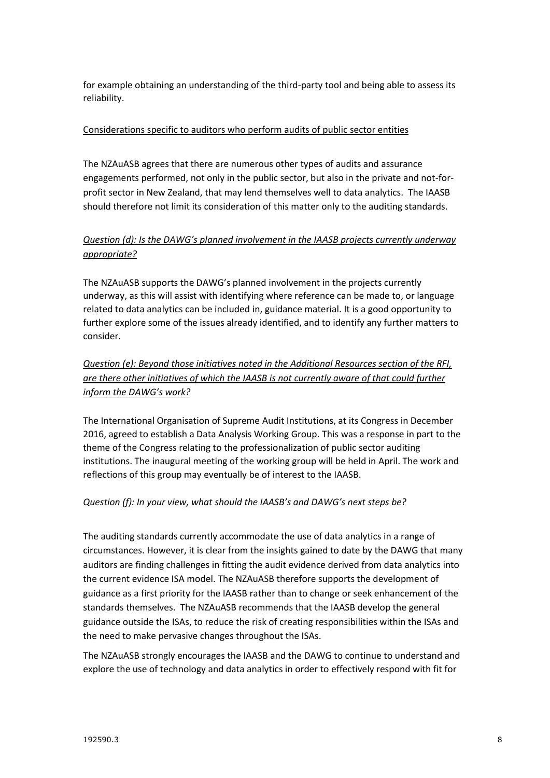for example obtaining an understanding of the third-party tool and being able to assess its reliability.

## Considerations specific to auditors who perform audits of public sector entities

The NZAuASB agrees that there are numerous other types of audits and assurance engagements performed, not only in the public sector, but also in the private and not-forprofit sector in New Zealand, that may lend themselves well to data analytics. The IAASB should therefore not limit its consideration of this matter only to the auditing standards.

# *Question (d): Is the DAWG's planned involvement in the IAASB projects currently underway appropriate?*

The NZAuASB supports the DAWG's planned involvement in the projects currently underway, as this will assist with identifying where reference can be made to, or language related to data analytics can be included in, guidance material. It is a good opportunity to further explore some of the issues already identified, and to identify any further matters to consider.

*Question (e): Beyond those initiatives noted in the Additional Resources section of the RFI, are there other initiatives of which the IAASB is not currently aware of that could further inform the DAWG's work?*

The International Organisation of Supreme Audit Institutions, at its Congress in December 2016, agreed to establish a Data Analysis Working Group. This was a response in part to the theme of the Congress relating to the professionalization of public sector auditing institutions. The inaugural meeting of the working group will be held in April. The work and reflections of this group may eventually be of interest to the IAASB.

## *Question (f): In your view, what should the IAASB's and DAWG's next steps be?*

The auditing standards currently accommodate the use of data analytics in a range of circumstances. However, it is clear from the insights gained to date by the DAWG that many auditors are finding challenges in fitting the audit evidence derived from data analytics into the current evidence ISA model. The NZAuASB therefore supports the development of guidance as a first priority for the IAASB rather than to change or seek enhancement of the standards themselves. The NZAuASB recommends that the IAASB develop the general guidance outside the ISAs, to reduce the risk of creating responsibilities within the ISAs and the need to make pervasive changes throughout the ISAs.

The NZAuASB strongly encourages the IAASB and the DAWG to continue to understand and explore the use of technology and data analytics in order to effectively respond with fit for